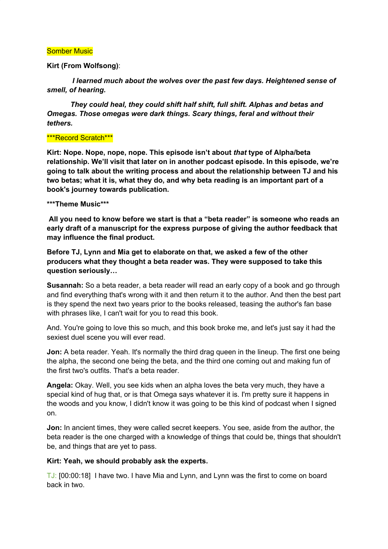#### Somber Music

#### **Kirt (From Wolfsong)**:

*I learned much about the wolves over the past few days. Heightened sense of smell, of hearing.*

*They could heal, they could shift half shift, full shift. Alphas and betas and Omegas. Those omegas were dark things. Scary things, feral and without their tethers.*

#### \*\*\*Record Scratch\*\*\*

**Kirt: Nope. Nope, nope, nope. This episode isn't about** *that* **type of Alpha/beta relationship. We'll visit that later on in another podcast episode. In this episode, we're going to talk about the writing process and about the relationship between TJ and his two betas; what it is, what they do, and why beta reading is an important part of a book's journey towards publication.**

#### **\*\*\*Theme Music\*\*\***

**All you need to know before we start is that a "beta reader" is someone who reads an early draft of a manuscript for the express purpose of giving the author feedback that may influence the final product.**

**Before TJ, Lynn and Mia get to elaborate on that, we asked a few of the other producers what they thought a beta reader was. They were supposed to take this question seriously…**

**Susannah:** So a beta reader, a beta reader will read an early copy of a book and go through and find everything that's wrong with it and then return it to the author. And then the best part is they spend the next two years prior to the books released, teasing the author's fan base with phrases like, I can't wait for you to read this book.

And. You're going to love this so much, and this book broke me, and let's just say it had the sexiest duel scene you will ever read.

**Jon:** A beta reader. Yeah. It's normally the third drag queen in the lineup. The first one being the alpha, the second one being the beta, and the third one coming out and making fun of the first two's outfits. That's a beta reader.

**Angela:** Okay. Well, you see kids when an alpha loves the beta very much, they have a special kind of hug that, or is that Omega says whatever it is. I'm pretty sure it happens in the woods and you know, I didn't know it was going to be this kind of podcast when I signed on.

**Jon:** In ancient times, they were called secret keepers. You see, aside from the author, the beta reader is the one charged with a knowledge of things that could be, things that shouldn't be, and things that are yet to pass.

### **Kirt: Yeah, we should probably ask the experts.**

TJ: [00:00:18] I have two. I have Mia and Lynn, and Lynn was the first to come on board back in two.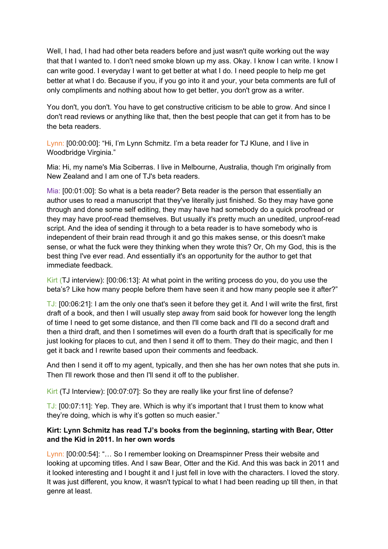Well, I had, I had had other beta readers before and just wasn't quite working out the way that that I wanted to. I don't need smoke blown up my ass. Okay. I know I can write. I know I can write good. I everyday I want to get better at what I do. I need people to help me get better at what I do. Because if you, if you go into it and your, your beta comments are full of only compliments and nothing about how to get better, you don't grow as a writer.

You don't, you don't. You have to get constructive criticism to be able to grow. And since I don't read reviews or anything like that, then the best people that can get it from has to be the beta readers.

Lynn: [00:00:00]: "Hi, I'm Lynn Schmitz. I'm a beta reader for TJ Klune, and I live in Woodbridge Virginia."

Mia: Hi, my name's Mia Sciberras. I live in Melbourne, Australia, though I'm originally from New Zealand and I am one of TJ's beta readers.

Mia: [00:01:00]: So what is a beta reader? Beta reader is the person that essentially an author uses to read a manuscript that they've literally just finished. So they may have gone through and done some self editing, they may have had somebody do a quick proofread or they may have proof-read themselves. But usually it's pretty much an unedited, unproof-read script. And the idea of sending it through to a beta reader is to have somebody who is independent of their brain read through it and go this makes sense, or this doesn't make sense, or what the fuck were they thinking when they wrote this? Or, Oh my God, this is the best thing I've ever read. And essentially it's an opportunity for the author to get that immediate feedback.

Kirt (TJ interview): [00:06:13]: At what point in the writing process do you, do you use the beta's? Like how many people before them have seen it and how many people see it after?"

TJ: [00:06:21]: I am the only one that's seen it before they get it. And I will write the first, first draft of a book, and then I will usually step away from said book for however long the length of time I need to get some distance, and then I'll come back and I'll do a second draft and then a third draft, and then I sometimes will even do a fourth draft that is specifically for me just looking for places to cut, and then I send it off to them. They do their magic, and then I get it back and I rewrite based upon their comments and feedback.

And then I send it off to my agent, typically, and then she has her own notes that she puts in. Then I'll rework those and then I'll send it off to the publisher.

Kirt (TJ Interview): [00:07:07]: So they are really like your first line of defense?

TJ: [00:07:11]: Yep. They are. Which is why it's important that I trust them to know what they're doing, which is why it's gotten so much easier."

# **Kirt: Lynn Schmitz has read TJ's books from the beginning, starting with Bear, Otter and the Kid in 2011. In her own words**

Lynn: [00:00:54]: "… So I remember looking on Dreamspinner Press their website and looking at upcoming titles. And I saw Bear, Otter and the Kid. And this was back in 2011 and it looked interesting and I bought it and I just fell in love with the characters. I loved the story. It was just different, you know, it wasn't typical to what I had been reading up till then, in that genre at least.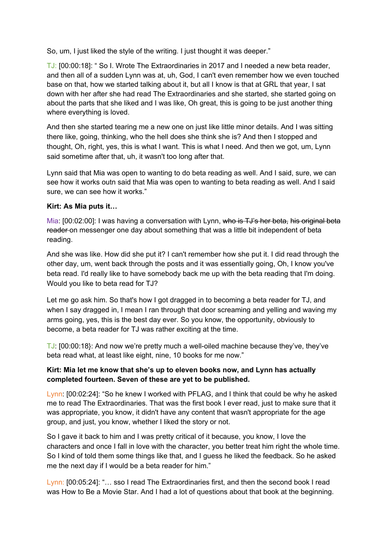So, um, I just liked the style of the writing. I just thought it was deeper."

TJ: [00:00:18]: " So I. Wrote The Extraordinaries in 2017 and I needed a new beta reader, and then all of a sudden Lynn was at, uh, God, I can't even remember how we even touched base on that, how we started talking about it, but all I know is that at GRL that year, I sat down with her after she had read The Extraordinaries and she started, she started going on about the parts that she liked and I was like, Oh great, this is going to be just another thing where everything is loved.

And then she started tearing me a new one on just like little minor details. And I was sitting there like, going, thinking, who the hell does she think she is? And then I stopped and thought, Oh, right, yes, this is what I want. This is what I need. And then we got, um, Lynn said sometime after that, uh, it wasn't too long after that.

Lynn said that Mia was open to wanting to do beta reading as well. And I said, sure, we can see how it works outn said that Mia was open to wanting to beta reading as well. And I said sure, we can see how it works."

# **Kirt: As Mia puts it…**

Mia: [00:02:00]: I was having a conversation with Lynn, who is TJ's her beta, his original beta reader on messenger one day about something that was a little bit independent of beta reading.

And she was like. How did she put it? I can't remember how she put it. I did read through the other day, um, went back through the posts and it was essentially going, Oh, I know you've beta read. I'd really like to have somebody back me up with the beta reading that I'm doing. Would you like to beta read for TJ?

Let me go ask him. So that's how I got dragged in to becoming a beta reader for TJ, and when I say dragged in, I mean I ran through that door screaming and yelling and waving my arms going, yes, this is the best day ever. So you know, the opportunity, obviously to become, a beta reader for TJ was rather exciting at the time.

TJ: [00:00:18}: And now we're pretty much a well-oiled machine because they've, they've beta read what, at least like eight, nine, 10 books for me now."

## **Kirt: Mia let me know that she's up to eleven books now, and Lynn has actually completed fourteen. Seven of these are yet to be published.**

Lynn: [00:02:24]: "So he knew I worked with PFLAG, and I think that could be why he asked me to read The Extraordinaries. That was the first book I ever read, just to make sure that it was appropriate, you know, it didn't have any content that wasn't appropriate for the age group, and just, you know, whether I liked the story or not.

So I gave it back to him and I was pretty critical of it because, you know, I love the characters and once I fall in love with the character, you better treat him right the whole time. So I kind of told them some things like that, and I guess he liked the feedback. So he asked me the next day if I would be a beta reader for him."

Lynn: [00:05:24]: "… sso I read The Extraordinaries first, and then the second book I read was How to Be a Movie Star. And I had a lot of questions about that book at the beginning.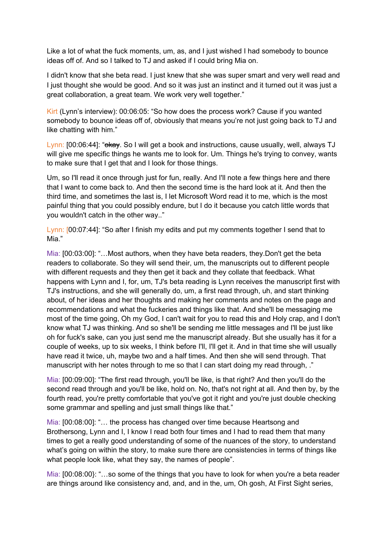Like a lot of what the fuck moments, um, as, and I just wished I had somebody to bounce ideas off of. And so I talked to TJ and asked if I could bring Mia on.

I didn't know that she beta read. I just knew that she was super smart and very well read and I just thought she would be good. And so it was just an instinct and it turned out it was just a great collaboration, a great team. We work very well together."

Kirt (Lynn's interview): 00:06:05: "So how does the process work? Cause if you wanted somebody to bounce ideas off of, obviously that means you're not just going back to TJ and like chatting with him."

Lynn: [00:06:44]: "okay. So I will get a book and instructions, cause usually, well, always TJ will give me specific things he wants me to look for. Um. Things he's trying to convey, wants to make sure that I get that and I look for those things.

Um, so I'll read it once through just for fun, really. And I'll note a few things here and there that I want to come back to. And then the second time is the hard look at it. And then the third time, and sometimes the last is, I let Microsoft Word read it to me, which is the most painful thing that you could possibly endure, but I do it because you catch little words that you wouldn't catch in the other way.."

Lynn: [00:07:44]: "So after I finish my edits and put my comments together I send that to Mia."

Mia: [00:03:00]: "…Most authors, when they have beta readers, they.Don't get the beta readers to collaborate. So they will send their, um, the manuscripts out to different people with different requests and they then get it back and they collate that feedback. What happens with Lynn and I, for, um, TJ's beta reading is Lynn receives the manuscript first with TJ's instructions, and she will generally do, um, a first read through, uh, and start thinking about, of her ideas and her thoughts and making her comments and notes on the page and recommendations and what the fuckeries and things like that. And she'll be messaging me most of the time going, Oh my God, I can't wait for you to read this and Holy crap, and I don't know what TJ was thinking. And so she'll be sending me little messages and I'll be just like oh for fuck's sake, can you just send me the manuscript already. But she usually has it for a couple of weeks, up to six weeks, I think before I'll, I'll get it. And in that time she will usually have read it twice, uh, maybe two and a half times. And then she will send through. That manuscript with her notes through to me so that I can start doing my read through, ."

Mia: [00:09:00]: "The first read through, you'll be like, is that right? And then you'll do the second read through and you'll be like, hold on. No, that's not right at all. And then by, by the fourth read, you're pretty comfortable that you've got it right and you're just double checking some grammar and spelling and just small things like that."

Mia: [00:08:00]: "… the process has changed over time because Heartsong and Brothersong, Lynn and I, I know I read both four times and I had to read them that many times to get a really good understanding of some of the nuances of the story, to understand what's going on within the story, to make sure there are consistencies in terms of things like what people look like, what they say, the names of people".

Mia: [00:08:00}: "…so some of the things that you have to look for when you're a beta reader are things around like consistency and, and, and in the, um, Oh gosh, At First Sight series,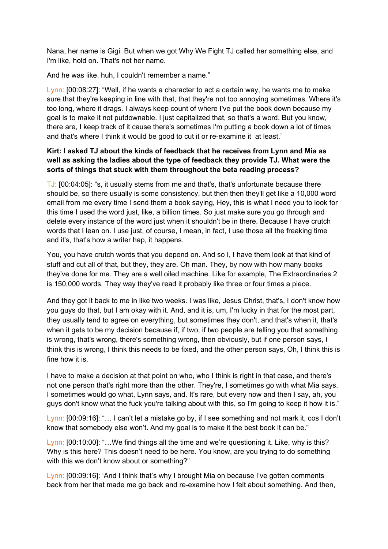Nana, her name is Gigi. But when we got Why We Fight TJ called her something else, and I'm like, hold on. That's not her name.

And he was like, huh, I couldn't remember a name."

Lynn: [00:08:27]: "Well, if he wants a character to act a certain way, he wants me to make sure that they're keeping in line with that, that they're not too annoying sometimes. Where it's too long, where it drags. I always keep count of where I've put the book down because my goal is to make it not putdownable. I just capitalized that, so that's a word. But you know, there are, I keep track of it cause there's sometimes I'm putting a book down a lot of times and that's where I think it would be good to cut it or re-examine it at least."

# **Kirt: I asked TJ about the kinds of feedback that he receives from Lynn and Mia as well as asking the ladies about the type of feedback they provide TJ. What were the sorts of things that stuck with them throughout the beta reading process?**

TJ: [00:04:05]: "s, it usually stems from me and that's, that's unfortunate because there should be, so there usually is some consistency, but then then they'll get like a 10,000 word email from me every time I send them a book saying, Hey, this is what I need you to look for this time I used the word just, like, a billion times. So just make sure you go through and delete every instance of the word just when it shouldn't be in there. Because I have crutch words that I lean on. I use just, of course, I mean, in fact, I use those all the freaking time and it's, that's how a writer hap, it happens.

You, you have crutch words that you depend on. And so I, I have them look at that kind of stuff and cut all of that, but they, they are. Oh man. They, by now with how many books they've done for me. They are a well oiled machine. Like for example, The Extraordinaries 2 is 150,000 words. They way they've read it probably like three or four times a piece.

And they got it back to me in like two weeks. I was like, Jesus Christ, that's, I don't know how you guys do that, but I am okay with it. And, and it is, um, I'm lucky in that for the most part, they usually tend to agree on everything, but sometimes they don't, and that's when it, that's when it gets to be my decision because if, if two, if two people are telling you that something is wrong, that's wrong, there's something wrong, then obviously, but if one person says, I think this is wrong, I think this needs to be fixed, and the other person says, Oh, I think this is fine how it is.

I have to make a decision at that point on who, who I think is right in that case, and there's not one person that's right more than the other. They're, I sometimes go with what Mia says. I sometimes would go what, Lynn says, and. It's rare, but every now and then I say, ah, you guys don't know what the fuck you're talking about with this, so I'm going to keep it how it is."

Lynn: [00:09:16]: "… I can't let a mistake go by, if I see something and not mark it, cos I don't know that somebody else won't. And my goal is to make it the best book it can be."

Lynn: [00:10:00]: "…We find things all the time and we're questioning it. Like, why is this? Why is this here? This doesn't need to be here. You know, are you trying to do something with this we don't know about or something?"

Lynn: [00:09:16]: 'And I think that's why I brought Mia on because I've gotten comments back from her that made me go back and re-examine how I felt about something. And then,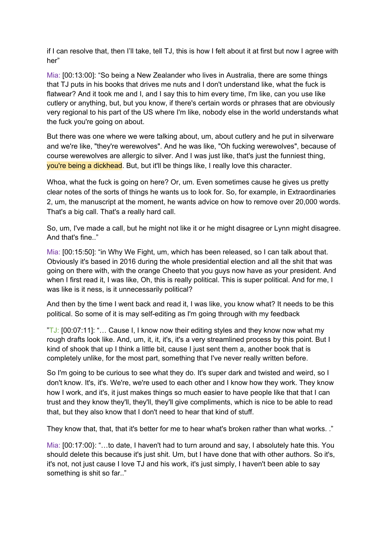if I can resolve that, then I'll take, tell TJ, this is how I felt about it at first but now I agree with her"

Mia: [00:13:00]: "So being a New Zealander who lives in Australia, there are some things that TJ puts in his books that drives me nuts and I don't understand like, what the fuck is flatwear? And it took me and I, and I say this to him every time, I'm like, can you use like cutlery or anything, but, but you know, if there's certain words or phrases that are obviously very regional to his part of the US where I'm like, nobody else in the world understands what the fuck you're going on about.

But there was one where we were talking about, um, about cutlery and he put in silverware and we're like, "they're werewolves". And he was like, "Oh fucking werewolves", because of course werewolves are allergic to silver. And I was just like, that's just the funniest thing, you're being a dickhead. But, but it'll be things like, I really love this character.

Whoa, what the fuck is going on here? Or, um. Even sometimes cause he gives us pretty clear notes of the sorts of things he wants us to look for. So, for example, in Extraordinaries 2, um, the manuscript at the moment, he wants advice on how to remove over 20,000 words. That's a big call. That's a really hard call.

So, um, I've made a call, but he might not like it or he might disagree or Lynn might disagree. And that's fine.."

Mia: [00:15:50]: "in Why We Fight, um, which has been released, so I can talk about that. Obviously it's based in 2016 during the whole presidential election and all the shit that was going on there with, with the orange Cheeto that you guys now have as your president. And when I first read it, I was like, Oh, this is really political. This is super political. And for me, I was like is it ness, is it unnecessarily political?

And then by the time I went back and read it, I was like, you know what? It needs to be this political. So some of it is may self-editing as I'm going through with my feedback

 $TJ: [00:07:11]$ : "... Cause I, I know now their editing styles and they know now what my rough drafts look like. And, um, it, it, it's, it's a very streamlined process by this point. But I kind of shook that up I think a little bit, cause I just sent them a, another book that is completely unlike, for the most part, something that I've never really written before.

So I'm going to be curious to see what they do. It's super dark and twisted and weird, so I don't know. It's, it's. We're, we're used to each other and I know how they work. They know how I work, and it's, it just makes things so much easier to have people like that that I can trust and they know they'll, they'll, they'll give compliments, which is nice to be able to read that, but they also know that I don't need to hear that kind of stuff.

They know that, that, that it's better for me to hear what's broken rather than what works. ."

Mia: [00:17:00}: "…to date, I haven't had to turn around and say, I absolutely hate this. You should delete this because it's just shit. Um, but I have done that with other authors. So it's, it's not, not just cause I love TJ and his work, it's just simply, I haven't been able to say something is shit so far.."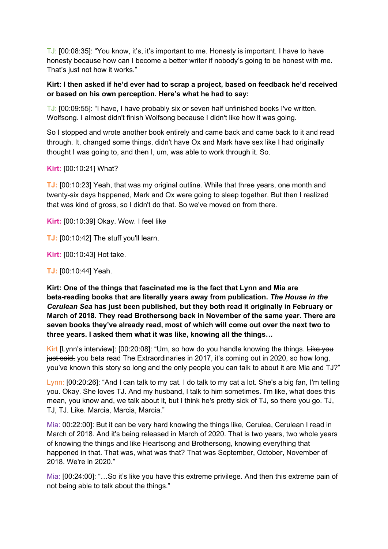TJ: [00:08:35]: "You know, it's, it's important to me. Honesty is important. I have to have honesty because how can I become a better writer if nobody's going to be honest with me. That's just not how it works."

## **Kirt: I then asked if he'd ever had to scrap a project, based on feedback he'd received or based on his own perception. Here's what he had to say:**

TJ: [00:09:55]: "I have, I have probably six or seven half unfinished books I've written. Wolfsong. I almost didn't finish Wolfsong because I didn't like how it was going.

So I stopped and wrote another book entirely and came back and came back to it and read through. It, changed some things, didn't have Ox and Mark have sex like I had originally thought I was going to, and then I, um, was able to work through it. So.

## **Kirt:** [00:10:21] What?

**TJ:** [00:10:23] Yeah, that was my original outline. While that three years, one month and twenty-six days happened, Mark and Ox were going to sleep together. But then I realized that was kind of gross, so I didn't do that. So we've moved on from there.

**Kirt:** [00:10:39] Okay. Wow. I feel like

**TJ:** [00:10:42] The stuff you'll learn.

**Kirt:** [00:10:43] Hot take.

**TJ:** [00:10:44] Yeah.

**Kirt: One of the things that fascinated me is the fact that Lynn and Mia are beta-reading books that are literally years away from publication.** *The House in the Cerulean Sea* **has just been published, but they both read it originally in February or March of 2018. They read Brothersong back in November of the same year. There are seven books they've already read, most of which will come out over the next two to three years. I asked them what it was like, knowing all the things…**

Kirt [Lynn's interview]: [00:20:08]: "Um, so how do you handle knowing the things. Like you just said, you beta read The Extraordinaries in 2017, it's coming out in 2020, so how long, you've known this story so long and the only people you can talk to about it are Mia and TJ?"

Lynn: [00:20:26]: "And I can talk to my cat. I do talk to my cat a lot. She's a big fan, I'm telling you. Okay. She loves TJ. And my husband, I talk to him sometimes. I'm like, what does this mean, you know and, we talk about it, but I think he's pretty sick of TJ, so there you go. TJ, TJ, TJ. Like. Marcia, Marcia, Marcia."

Mia: 00:22:00]: But it can be very hard knowing the things like, Cerulea, Cerulean I read in March of 2018. And it's being released in March of 2020. That is two years, two whole years of knowing the things and like Heartsong and Brothersong, knowing everything that happened in that. That was, what was that? That was September, October, November of 2018. We're in 2020."

Mia: [00:24:00]: "…So it's like you have this extreme privilege. And then this extreme pain of not being able to talk about the things."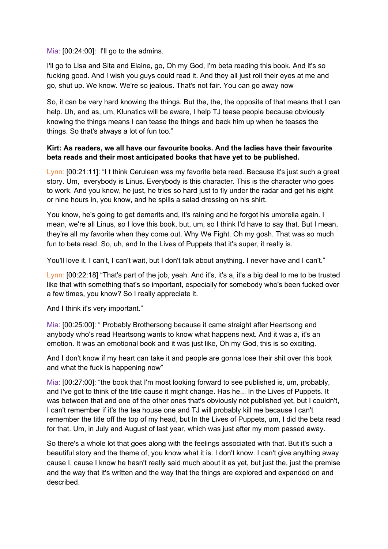Mia:  $[00:24:00]$ : I'll go to the admins.

I'll go to Lisa and Sita and Elaine, go, Oh my God, I'm beta reading this book. And it's so fucking good. And I wish you guys could read it. And they all just roll their eyes at me and go, shut up. We know. We're so jealous. That's not fair. You can go away now

So, it can be very hard knowing the things. But the, the, the opposite of that means that I can help. Uh, and as, um, Klunatics will be aware, I help TJ tease people because obviously knowing the things means I can tease the things and back him up when he teases the things. So that's always a lot of fun too."

### **Kirt: As readers, we all have our favourite books. And the ladies have their favourite beta reads and their most anticipated books that have yet to be published.**

Lynn: [00:21:11]: "I t think Cerulean was my favorite beta read. Because it's just such a great story. Um, everybody is Linus. Everybody is this character. This is the character who goes to work. And you know, he just, he tries so hard just to fly under the radar and get his eight or nine hours in, you know, and he spills a salad dressing on his shirt.

You know, he's going to get demerits and, it's raining and he forgot his umbrella again. I mean, we're all Linus, so I love this book, but, um, so I think I'd have to say that. But I mean, they're all my favorite when they come out. Why We Fight. Oh my gosh. That was so much fun to beta read. So, uh, and In the Lives of Puppets that it's super, it really is.

You'll love it. I can't, I can't wait, but I don't talk about anything. I never have and I can't."

Lynn: [00:22:18] "That's part of the job, yeah. And it's, it's a, it's a big deal to me to be trusted like that with something that's so important, especially for somebody who's been fucked over a few times, you know? So I really appreciate it.

And I think it's very important."

Mia: [00:25:00]: " Probably Brothersong because it came straight after Heartsong and anybody who's read Heartsong wants to know what happens next. And it was a, it's an emotion. It was an emotional book and it was just like, Oh my God, this is so exciting.

And I don't know if my heart can take it and people are gonna lose their shit over this book and what the fuck is happening now"

Mia: [00:27:00]: "the book that I'm most looking forward to see published is, um, probably, and I've got to think of the title cause it might change. Has he... In the Lives of Puppets. It was between that and one of the other ones that's obviously not published yet, but I couldn't, I can't remember if it's the tea house one and TJ will probably kill me because I can't remember the title off the top of my head, but In the Lives of Puppets, um, I did the beta read for that. Um, in July and August of last year, which was just after my mom passed away.

So there's a whole lot that goes along with the feelings associated with that. But it's such a beautiful story and the theme of, you know what it is. I don't know. I can't give anything away cause I, cause I know he hasn't really said much about it as yet, but just the, just the premise and the way that it's written and the way that the things are explored and expanded on and described.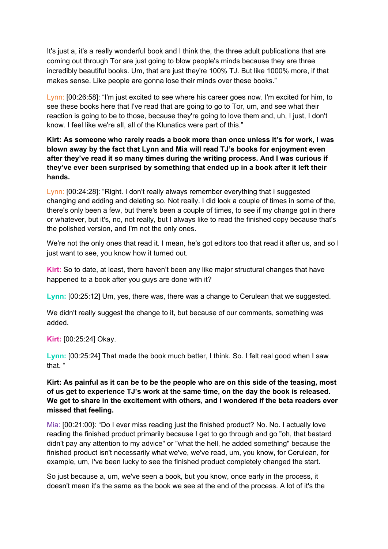It's just a, it's a really wonderful book and I think the, the three adult publications that are coming out through Tor are just going to blow people's minds because they are three incredibly beautiful books. Um, that are just they're 100% TJ. But like 1000% more, if that makes sense. Like people are gonna lose their minds over these books."

Lynn: [00:26:58]: "I'm just excited to see where his career goes now. I'm excited for him, to see these books here that I've read that are going to go to Tor, um, and see what their reaction is going to be to those, because they're going to love them and, uh, I just, I don't know. I feel like we're all, all of the Klunatics were part of this."

**Kirt: As someone who rarely reads a book more than once unless it's for work, I was blown away by the fact that Lynn and Mia will read TJ's books for enjoyment even after they've read it so many times during the writing process. And I was curious if they've ever been surprised by something that ended up in a book after it left their hands.**

Lynn: [00:24:28]: "Right. I don't really always remember everything that I suggested changing and adding and deleting so. Not really. I did look a couple of times in some of the, there's only been a few, but there's been a couple of times, to see if my change got in there or whatever, but it's, no, not really, but I always like to read the finished copy because that's the polished version, and I'm not the only ones.

We're not the only ones that read it. I mean, he's got editors too that read it after us, and so I just want to see, you know how it turned out.

**Kirt:** So to date, at least, there haven't been any like major structural changes that have happened to a book after you guys are done with it?

**Lynn:** [00:25:12] Um, yes, there was, there was a change to Cerulean that we suggested.

We didn't really suggest the change to it, but because of our comments, something was added.

**Kirt:** [00:25:24] Okay.

**Lynn:** [00:25:24] That made the book much better, I think. So. I felt real good when I saw that. "

# Kirt: As painful as it can be to be the people who are on this side of the teasing, most **of us get to experience TJ's work at the same time, on the day the book is released. We get to share in the excitement with others, and I wondered if the beta readers ever missed that feeling.**

Mia: [00:21:00}: "Do I ever miss reading just the finished product? No. No. I actually love reading the finished product primarily because I get to go through and go "oh, that bastard didn't pay any attention to my advice" or "what the hell, he added something" because the finished product isn't necessarily what we've, we've read, um, you know, for Cerulean, for example, um, I've been lucky to see the finished product completely changed the start.

So just because a, um, we've seen a book, but you know, once early in the process, it doesn't mean it's the same as the book we see at the end of the process. A lot of it's the